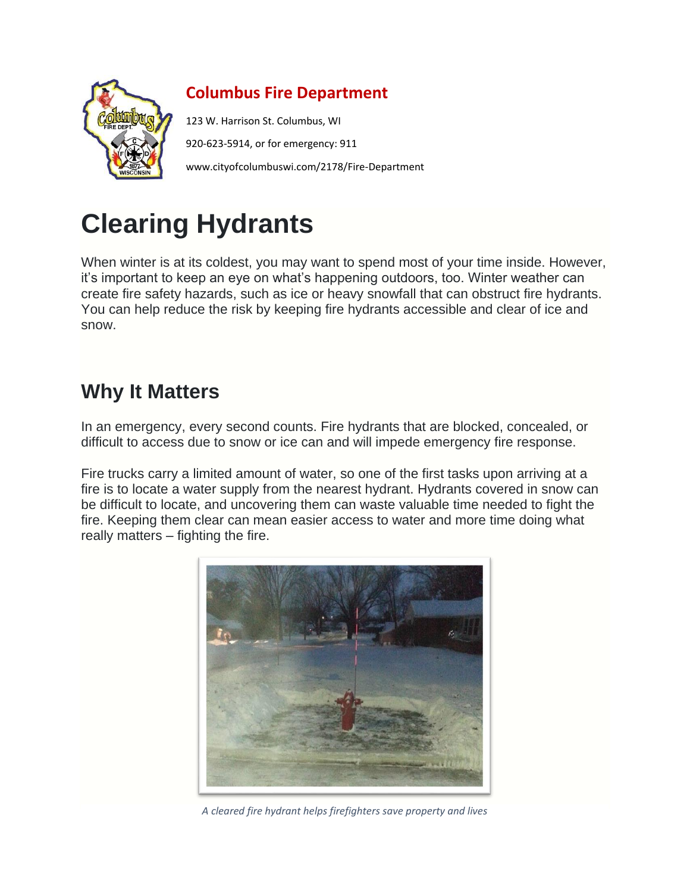

#### **Columbus Fire Department**

123 W. Harrison St. Columbus, WI 920-623-5914, or for emergency: 911 www.cityofcolumbuswi.com/2178/Fire-Department

# **Clearing Hydrants**

When winter is at its coldest, you may want to spend most of your time inside. However, it's important to keep an eye on what's happening outdoors, too. Winter weather can create fire safety hazards, such as ice or heavy snowfall that can obstruct fire hydrants. You can help reduce the risk by keeping fire hydrants accessible and clear of ice and snow.

## **Why It Matters**

In an emergency, every second counts. Fire hydrants that are blocked, concealed, or difficult to access due to snow or ice can and will impede emergency fire response.

Fire trucks carry a limited amount of water, so one of the first tasks upon arriving at a fire is to locate a water supply from the nearest hydrant. Hydrants covered in snow can be difficult to locate, and uncovering them can waste valuable time needed to fight the fire. Keeping them clear can mean easier access to water and more time doing what really matters – fighting the fire.



*A cleared fire hydrant helps firefighters save property and lives*